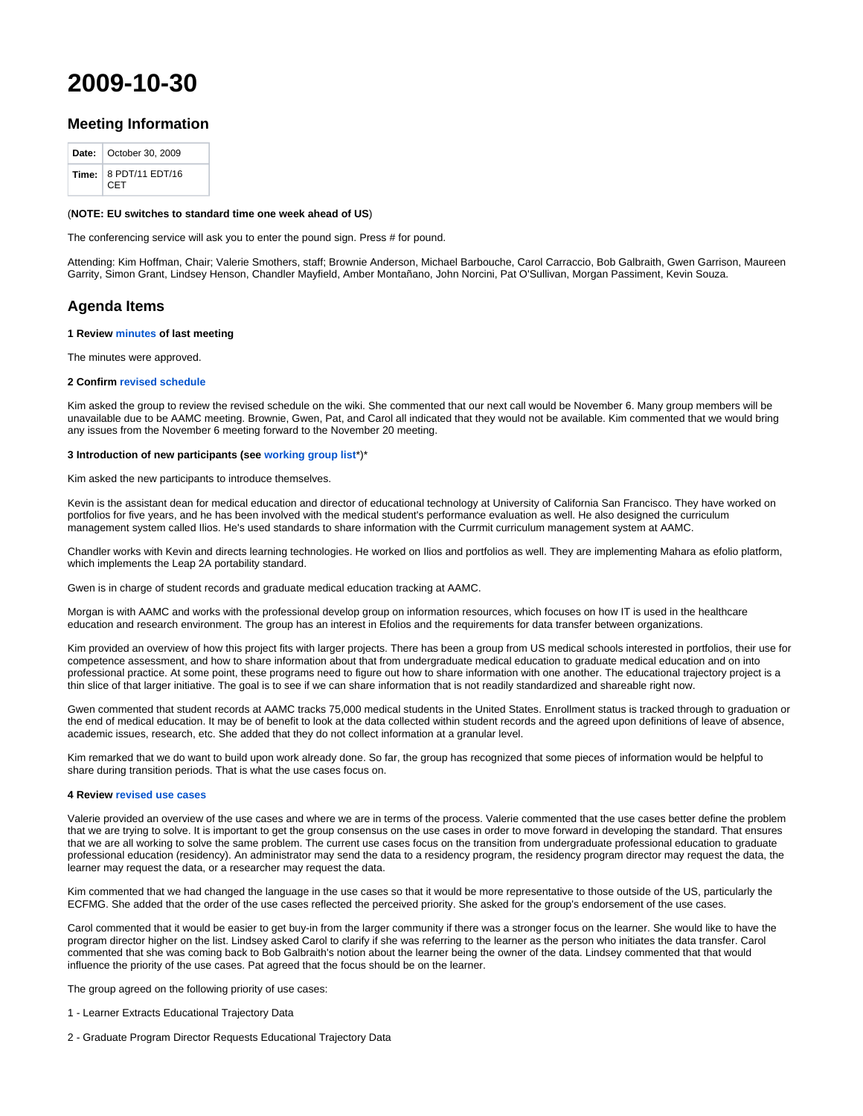# **2009-10-30**

# **Meeting Information**

| <b>Date:</b>   October 30, 2009       |
|---------------------------------------|
| Time: $8$ PDT/11 EDT/16<br><b>CET</b> |

## (**NOTE: EU switches to standard time one week ahead of US**)

The conferencing service will ask you to enter the pound sign. Press # for pound.

Attending: Kim Hoffman, Chair; Valerie Smothers, staff; Brownie Anderson, Michael Barbouche, Carol Carraccio, Bob Galbraith, Gwen Garrison, Maureen Garrity, Simon Grant, Lindsey Henson, Chandler Mayfield, Amber Montañano, John Norcini, Pat O'Sullivan, Morgan Passiment, Kevin Souza.

# **Agenda Items**

#### **1 Review [minutes](http://groups.medbiq.org/medbiq/display/EA/2009-09-18) of last meeting**

The minutes were approved.

#### **2 Confirm [revised schedule](http://groups.medbiq.org/medbiq/display/ET/Meetings)**

Kim asked the group to review the revised schedule on the wiki. She commented that our next call would be November 6. Many group members will be unavailable due to be AAMC meeting. Brownie, Gwen, Pat, and Carol all indicated that they would not be available. Kim commented that we would bring any issues from the November 6 meeting forward to the November 20 meeting.

#### **3 Introduction of new participants (see [working group list](http://groups.medbiq.org/medbiq/download/attachments/59639330/wg_members.pdf?version=1&modificationDate=1594671170000&api=v2)**\*)\*

Kim asked the new participants to introduce themselves.

Kevin is the assistant dean for medical education and director of educational technology at University of California San Francisco. They have worked on portfolios for five years, and he has been involved with the medical student's performance evaluation as well. He also designed the curriculum management system called Ilios. He's used standards to share information with the Currmit curriculum management system at AAMC.

Chandler works with Kevin and directs learning technologies. He worked on Ilios and portfolios as well. They are implementing Mahara as efolio platform, which implements the Leap 2A portability standard.

Gwen is in charge of student records and graduate medical education tracking at AAMC.

Morgan is with AAMC and works with the professional develop group on information resources, which focuses on how IT is used in the healthcare education and research environment. The group has an interest in Efolios and the requirements for data transfer between organizations.

Kim provided an overview of how this project fits with larger projects. There has been a group from US medical schools interested in portfolios, their use for competence assessment, and how to share information about that from undergraduate medical education to graduate medical education and on into professional practice. At some point, these programs need to figure out how to share information with one another. The educational trajectory project is a thin slice of that larger initiative. The goal is to see if we can share information that is not readily standardized and shareable right now.

Gwen commented that student records at AAMC tracks 75,000 medical students in the United States. Enrollment status is tracked through to graduation or the end of medical education. It may be of benefit to look at the data collected within student records and the agreed upon definitions of leave of absence, academic issues, research, etc. She added that they do not collect information at a granular level.

Kim remarked that we do want to build upon work already done. So far, the group has recognized that some pieces of information would be helpful to share during transition periods. That is what the use cases focus on.

#### **4 Review [revised use cases](http://groups.medbiq.org/medbiq/display/ET/Use+Cases)**

Valerie provided an overview of the use cases and where we are in terms of the process. Valerie commented that the use cases better define the problem that we are trying to solve. It is important to get the group consensus on the use cases in order to move forward in developing the standard. That ensures that we are all working to solve the same problem. The current use cases focus on the transition from undergraduate professional education to graduate professional education (residency). An administrator may send the data to a residency program, the residency program director may request the data, the learner may request the data, or a researcher may request the data.

Kim commented that we had changed the language in the use cases so that it would be more representative to those outside of the US, particularly the ECFMG. She added that the order of the use cases reflected the perceived priority. She asked for the group's endorsement of the use cases.

Carol commented that it would be easier to get buy-in from the larger community if there was a stronger focus on the learner. She would like to have the program director higher on the list. Lindsey asked Carol to clarify if she was referring to the learner as the person who initiates the data transfer. Carol commented that she was coming back to Bob Galbraith's notion about the learner being the owner of the data. Lindsey commented that that would influence the priority of the use cases. Pat agreed that the focus should be on the learner.

The group agreed on the following priority of use cases:

- 1 Learner Extracts Educational Trajectory Data
- 2 Graduate Program Director Requests Educational Trajectory Data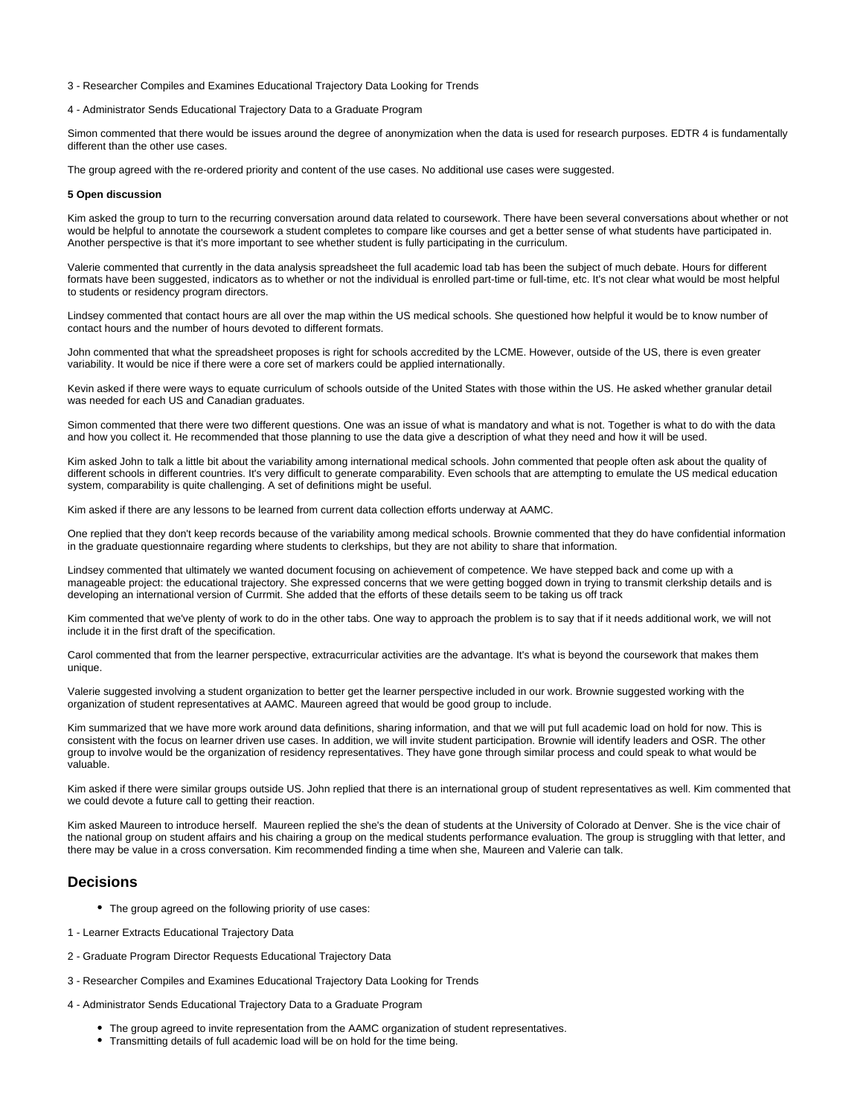#### 3 - Researcher Compiles and Examines Educational Trajectory Data Looking for Trends

## 4 - Administrator Sends Educational Trajectory Data to a Graduate Program

Simon commented that there would be issues around the degree of anonymization when the data is used for research purposes. EDTR 4 is fundamentally different than the other use cases.

The group agreed with the re-ordered priority and content of the use cases. No additional use cases were suggested.

#### **5 Open discussion**

Kim asked the group to turn to the recurring conversation around data related to coursework. There have been several conversations about whether or not would be helpful to annotate the coursework a student completes to compare like courses and get a better sense of what students have participated in. Another perspective is that it's more important to see whether student is fully participating in the curriculum.

Valerie commented that currently in the data analysis spreadsheet the full academic load tab has been the subject of much debate. Hours for different formats have been suggested, indicators as to whether or not the individual is enrolled part-time or full-time, etc. It's not clear what would be most helpful to students or residency program directors.

Lindsey commented that contact hours are all over the map within the US medical schools. She questioned how helpful it would be to know number of contact hours and the number of hours devoted to different formats.

John commented that what the spreadsheet proposes is right for schools accredited by the LCME. However, outside of the US, there is even greater variability. It would be nice if there were a core set of markers could be applied internationally.

Kevin asked if there were ways to equate curriculum of schools outside of the United States with those within the US. He asked whether granular detail was needed for each US and Canadian graduates.

Simon commented that there were two different questions. One was an issue of what is mandatory and what is not. Together is what to do with the data and how you collect it. He recommended that those planning to use the data give a description of what they need and how it will be used.

Kim asked John to talk a little bit about the variability among international medical schools. John commented that people often ask about the quality of different schools in different countries. It's very difficult to generate comparability. Even schools that are attempting to emulate the US medical education system, comparability is quite challenging. A set of definitions might be useful.

Kim asked if there are any lessons to be learned from current data collection efforts underway at AAMC.

One replied that they don't keep records because of the variability among medical schools. Brownie commented that they do have confidential information in the graduate questionnaire regarding where students to clerkships, but they are not ability to share that information.

Lindsey commented that ultimately we wanted document focusing on achievement of competence. We have stepped back and come up with a manageable project: the educational trajectory. She expressed concerns that we were getting bogged down in trying to transmit clerkship details and is developing an international version of Currmit. She added that the efforts of these details seem to be taking us off track

Kim commented that we've plenty of work to do in the other tabs. One way to approach the problem is to say that if it needs additional work, we will not include it in the first draft of the specification.

Carol commented that from the learner perspective, extracurricular activities are the advantage. It's what is beyond the coursework that makes them unique.

Valerie suggested involving a student organization to better get the learner perspective included in our work. Brownie suggested working with the organization of student representatives at AAMC. Maureen agreed that would be good group to include.

Kim summarized that we have more work around data definitions, sharing information, and that we will put full academic load on hold for now. This is consistent with the focus on learner driven use cases. In addition, we will invite student participation. Brownie will identify leaders and OSR. The other group to involve would be the organization of residency representatives. They have gone through similar process and could speak to what would be valuable.

Kim asked if there were similar groups outside US. John replied that there is an international group of student representatives as well. Kim commented that we could devote a future call to getting their reaction.

Kim asked Maureen to introduce herself. Maureen replied the she's the dean of students at the University of Colorado at Denver. She is the vice chair of the national group on student affairs and his chairing a group on the medical students performance evaluation. The group is struggling with that letter, and there may be value in a cross conversation. Kim recommended finding a time when she, Maureen and Valerie can talk.

## **Decisions**

- The group agreed on the following priority of use cases:
- 1 Learner Extracts Educational Trajectory Data
- 2 Graduate Program Director Requests Educational Trajectory Data
- 3 Researcher Compiles and Examines Educational Trajectory Data Looking for Trends
- 4 Administrator Sends Educational Trajectory Data to a Graduate Program
	- The group agreed to invite representation from the AAMC organization of student representatives.
	- Transmitting details of full academic load will be on hold for the time being.